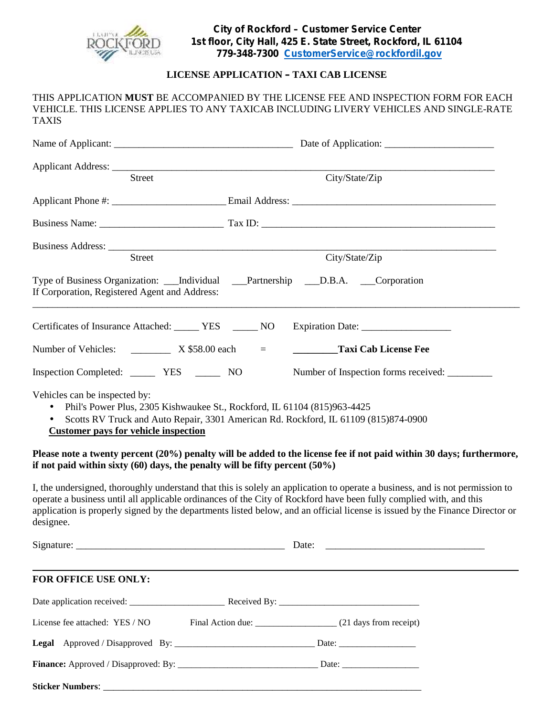

### **LICENSE APPLICATION – TAXI CAB LICENSE**

#### THIS APPLICATION **MUST** BE ACCOMPANIED BY THE LICENSE FEE AND INSPECTION FORM FOR EACH VEHICLE. THIS LICENSE APPLIES TO ANY TAXICAB INCLUDING LIVERY VEHICLES AND SINGLE-RATE TAXIS

| Street                                                                           | City/State/Zip                                                                                                                                                                                                                                     |
|----------------------------------------------------------------------------------|----------------------------------------------------------------------------------------------------------------------------------------------------------------------------------------------------------------------------------------------------|
|                                                                                  |                                                                                                                                                                                                                                                    |
|                                                                                  |                                                                                                                                                                                                                                                    |
| Street                                                                           | City/State/Zip                                                                                                                                                                                                                                     |
| If Corporation, Registered Agent and Address:                                    | Type of Business Organization: ___Individual ___Partnership ___D.B.A. ___Corporation                                                                                                                                                               |
|                                                                                  | Certificates of Insurance Attached: _______ YES _______ NO ___ Expiration Date: ___________________                                                                                                                                                |
|                                                                                  | <b>Taxi Cab License Fee</b><br>$\equiv$ 1000 $\pm$                                                                                                                                                                                                 |
|                                                                                  | Number of Inspection forms received: _________                                                                                                                                                                                                     |
| Vehicles can be inspected by:<br><b>Customer pays for vehicle inspection</b>     | Phil's Power Plus, 2305 Kishwaukee St., Rockford, IL 61104 (815)963-4425<br>Scotts RV Truck and Auto Repair, 3301 American Rd. Rockford, IL 61109 (815)874-0900                                                                                    |
| if not paid within sixty $(60)$ days, the penalty will be fifty percent $(50\%)$ | Please note a twenty percent (20%) penalty will be added to the license fee if not paid within 30 days; furthermore,                                                                                                                               |
|                                                                                  | I, the undersigned, thoroughly understand that this is solely an application to operate a business, and is not permission to<br>operate a business until all applicable ordinances of the City of Rockford have been fully complied with, and this |
| designee.                                                                        | application is properly signed by the departments listed below, and an official license is issued by the Finance Director or                                                                                                                       |

### **FOR OFFICE USE ONLY:**

| License fee attached: YES / NO |  |
|--------------------------------|--|
|                                |  |
|                                |  |
|                                |  |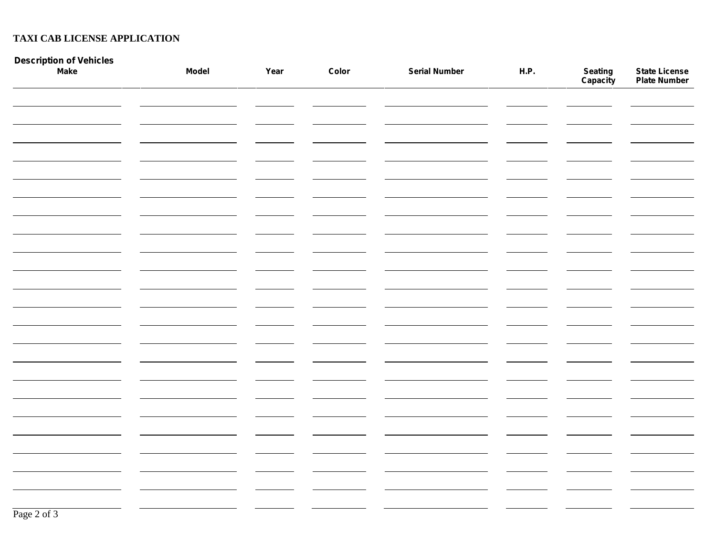## **TAXI CAB LICENSE APPLICATION**

| Description of Vehicles<br>Make | <b>Model</b> | Year | Color | <b>Serial Number</b> | H.P. | <b>Seating<br/>Capacity</b> | <b>State License<br/>Plate Number</b> |
|---------------------------------|--------------|------|-------|----------------------|------|-----------------------------|---------------------------------------|
|                                 |              |      |       |                      |      |                             |                                       |
|                                 |              |      |       |                      |      |                             |                                       |
|                                 |              |      |       |                      |      |                             |                                       |
|                                 |              |      |       |                      |      |                             |                                       |
|                                 |              |      |       |                      |      |                             |                                       |
|                                 |              |      |       |                      |      |                             |                                       |
|                                 |              |      |       |                      |      |                             |                                       |
|                                 |              |      |       |                      |      |                             |                                       |
|                                 |              |      |       |                      |      |                             |                                       |
|                                 |              |      |       |                      |      |                             |                                       |
|                                 |              |      |       |                      |      |                             |                                       |
|                                 |              |      |       |                      |      |                             |                                       |
|                                 |              |      |       |                      |      |                             |                                       |
|                                 |              |      |       |                      |      |                             |                                       |
|                                 |              |      |       |                      |      |                             |                                       |
|                                 |              |      |       |                      |      |                             |                                       |